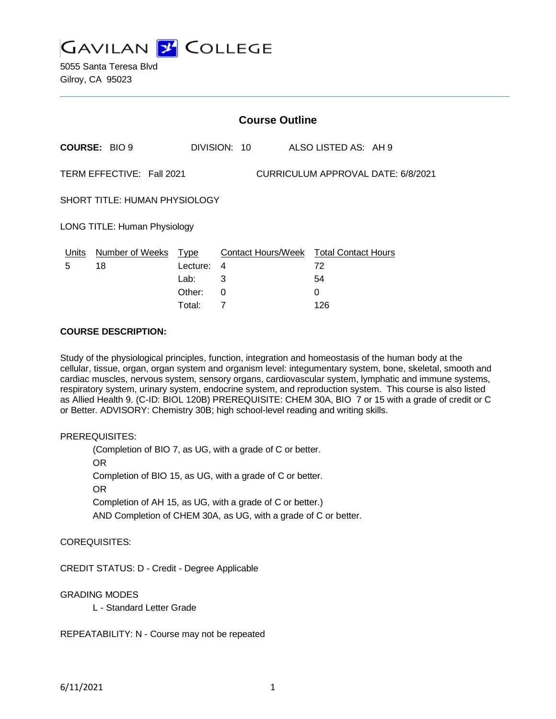

|                                                                 | <b>Course Outline</b>  |             |                                        |     |                      |
|-----------------------------------------------------------------|------------------------|-------------|----------------------------------------|-----|----------------------|
|                                                                 | <b>COURSE: BIO 9</b>   |             | DIVISION: 10                           |     | ALSO LISTED AS: AH 9 |
| TERM EFFECTIVE: Fall 2021<br>CURRICULUM APPROVAL DATE: 6/8/2021 |                        |             |                                        |     |                      |
| SHORT TITLE: HUMAN PHYSIOLOGY                                   |                        |             |                                        |     |                      |
| LONG TITLE: Human Physiology                                    |                        |             |                                        |     |                      |
| Units                                                           | <b>Number of Weeks</b> | <u>Type</u> | Contact Hours/Week Total Contact Hours |     |                      |
| 5                                                               | 18                     | Lecture:    | 4                                      | 72  |                      |
|                                                                 |                        | Lab:        | 3                                      | 54  |                      |
|                                                                 |                        | Other:      | 0                                      | 0   |                      |
|                                                                 |                        | Total:      | 7                                      | 126 |                      |

#### **COURSE DESCRIPTION:**

Study of the physiological principles, function, integration and homeostasis of the human body at the cellular, tissue, organ, organ system and organism level: integumentary system, bone, skeletal, smooth and cardiac muscles, nervous system, sensory organs, cardiovascular system, lymphatic and immune systems, respiratory system, urinary system, endocrine system, and reproduction system. This course is also listed as Allied Health 9. (C-ID: BIOL 120B) PREREQUISITE: CHEM 30A, BIO 7 or 15 with a grade of credit or C or Better. ADVISORY: Chemistry 30B; high school-level reading and writing skills.

#### PREREQUISITES:

(Completion of BIO 7, as UG, with a grade of C or better. OR Completion of BIO 15, as UG, with a grade of C or better. OR Completion of AH 15, as UG, with a grade of C or better.) AND Completion of CHEM 30A, as UG, with a grade of C or better.

COREQUISITES:

CREDIT STATUS: D - Credit - Degree Applicable

#### GRADING MODES

L - Standard Letter Grade

REPEATABILITY: N - Course may not be repeated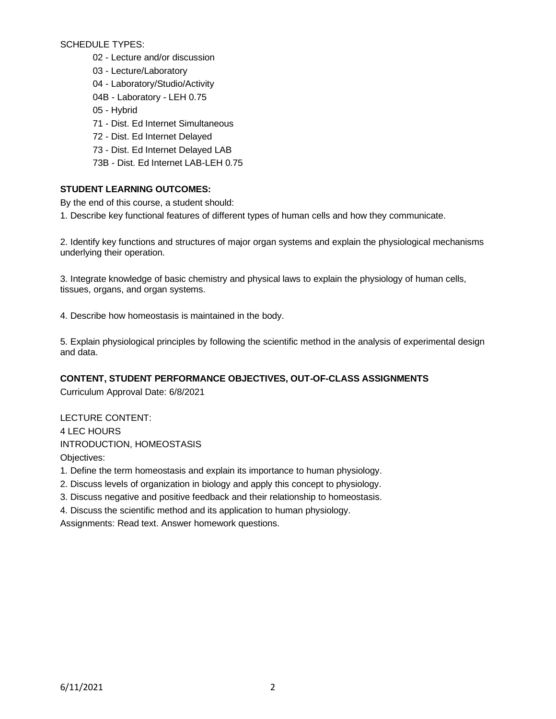SCHEDULE TYPES:

- 02 Lecture and/or discussion
- 03 Lecture/Laboratory
- 04 Laboratory/Studio/Activity
- 04B Laboratory LEH 0.75
- 05 Hybrid
- 71 Dist. Ed Internet Simultaneous
- 72 Dist. Ed Internet Delayed
- 73 Dist. Ed Internet Delayed LAB
- 73B Dist. Ed Internet LAB-LEH 0.75

# **STUDENT LEARNING OUTCOMES:**

By the end of this course, a student should:

1. Describe key functional features of different types of human cells and how they communicate.

2. Identify key functions and structures of major organ systems and explain the physiological mechanisms underlying their operation.

3. Integrate knowledge of basic chemistry and physical laws to explain the physiology of human cells, tissues, organs, and organ systems.

4. Describe how homeostasis is maintained in the body.

5. Explain physiological principles by following the scientific method in the analysis of experimental design and data.

# **CONTENT, STUDENT PERFORMANCE OBJECTIVES, OUT-OF-CLASS ASSIGNMENTS**

Curriculum Approval Date: 6/8/2021

LECTURE CONTENT: 4 LEC HOURS INTRODUCTION, HOMEOSTASIS Objectives:

1. Define the term homeostasis and explain its importance to human physiology.

- 2. Discuss levels of organization in biology and apply this concept to physiology.
- 3. Discuss negative and positive feedback and their relationship to homeostasis.

4. Discuss the scientific method and its application to human physiology.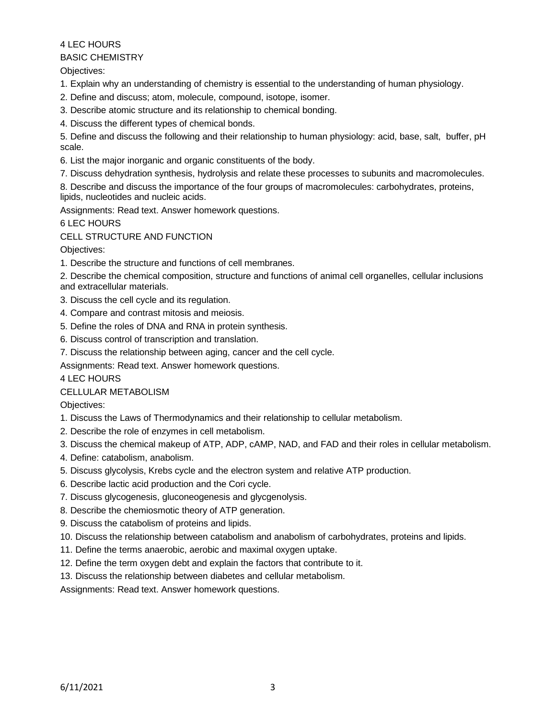#### BASIC CHEMISTRY

Objectives:

- 1. Explain why an understanding of chemistry is essential to the understanding of human physiology.
- 2. Define and discuss; atom, molecule, compound, isotope, isomer.
- 3. Describe atomic structure and its relationship to chemical bonding.
- 4. Discuss the different types of chemical bonds.

5. Define and discuss the following and their relationship to human physiology: acid, base, salt, buffer, pH scale.

- 6. List the major inorganic and organic constituents of the body.
- 7. Discuss dehydration synthesis, hydrolysis and relate these processes to subunits and macromolecules.
- 8. Describe and discuss the importance of the four groups of macromolecules: carbohydrates, proteins, lipids, nucleotides and nucleic acids.

Assignments: Read text. Answer homework questions.

6 LEC HOURS

# CELL STRUCTURE AND FUNCTION

Objectives:

- 1. Describe the structure and functions of cell membranes.
- 2. Describe the chemical composition, structure and functions of animal cell organelles, cellular inclusions and extracellular materials.
- 3. Discuss the cell cycle and its regulation.
- 4. Compare and contrast mitosis and meiosis.
- 5. Define the roles of DNA and RNA in protein synthesis.
- 6. Discuss control of transcription and translation.
- 7. Discuss the relationship between aging, cancer and the cell cycle.

Assignments: Read text. Answer homework questions.

#### 4 LEC HOURS

# CELLULAR METABOLISM

Objectives:

- 1. Discuss the Laws of Thermodynamics and their relationship to cellular metabolism.
- 2. Describe the role of enzymes in cell metabolism.
- 3. Discuss the chemical makeup of ATP, ADP, cAMP, NAD, and FAD and their roles in cellular metabolism.
- 4. Define: catabolism, anabolism.
- 5. Discuss glycolysis, Krebs cycle and the electron system and relative ATP production.
- 6. Describe lactic acid production and the Cori cycle.
- 7. Discuss glycogenesis, gluconeogenesis and glycgenolysis.
- 8. Describe the chemiosmotic theory of ATP generation.
- 9. Discuss the catabolism of proteins and lipids.
- 10. Discuss the relationship between catabolism and anabolism of carbohydrates, proteins and lipids.
- 11. Define the terms anaerobic, aerobic and maximal oxygen uptake.
- 12. Define the term oxygen debt and explain the factors that contribute to it.
- 13. Discuss the relationship between diabetes and cellular metabolism.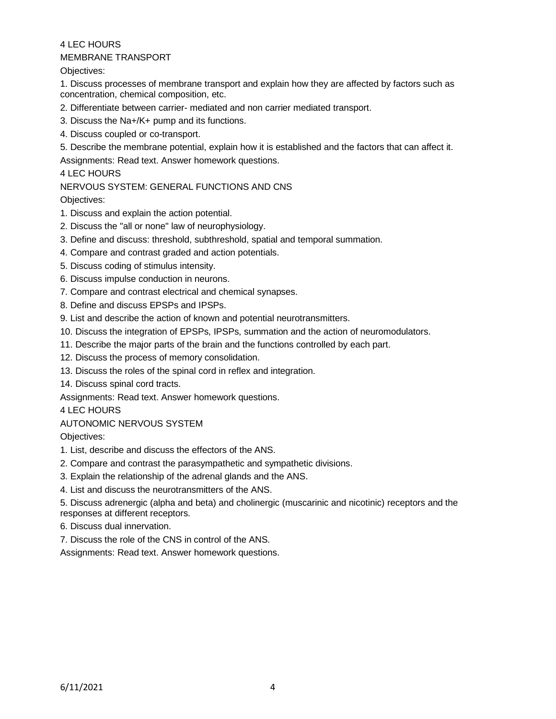## MEMBRANE TRANSPORT

Objectives:

1. Discuss processes of membrane transport and explain how they are affected by factors such as concentration, chemical composition, etc.

- 2. Differentiate between carrier- mediated and non carrier mediated transport.
- 3. Discuss the Na+/K+ pump and its functions.
- 4. Discuss coupled or co-transport.

5. Describe the membrane potential, explain how it is established and the factors that can affect it. Assignments: Read text. Answer homework questions.

# 4 LEC HOURS

## NERVOUS SYSTEM: GENERAL FUNCTIONS AND CNS

Objectives:

- 1. Discuss and explain the action potential.
- 2. Discuss the "all or none" law of neurophysiology.
- 3. Define and discuss: threshold, subthreshold, spatial and temporal summation.
- 4. Compare and contrast graded and action potentials.
- 5. Discuss coding of stimulus intensity.
- 6. Discuss impulse conduction in neurons.
- 7. Compare and contrast electrical and chemical synapses.
- 8. Define and discuss EPSPs and IPSPs.
- 9. List and describe the action of known and potential neurotransmitters.
- 10. Discuss the integration of EPSPs, IPSPs, summation and the action of neuromodulators.
- 11. Describe the major parts of the brain and the functions controlled by each part.
- 12. Discuss the process of memory consolidation.
- 13. Discuss the roles of the spinal cord in reflex and integration.
- 14. Discuss spinal cord tracts.

Assignments: Read text. Answer homework questions.

#### 4 LEC HOURS

#### AUTONOMIC NERVOUS SYSTEM

Objectives:

- 1. List, describe and discuss the effectors of the ANS.
- 2. Compare and contrast the parasympathetic and sympathetic divisions.
- 3. Explain the relationship of the adrenal glands and the ANS.
- 4. List and discuss the neurotransmitters of the ANS.

5. Discuss adrenergic (alpha and beta) and cholinergic (muscarinic and nicotinic) receptors and the responses at different receptors.

- 6. Discuss dual innervation.
- 7. Discuss the role of the CNS in control of the ANS.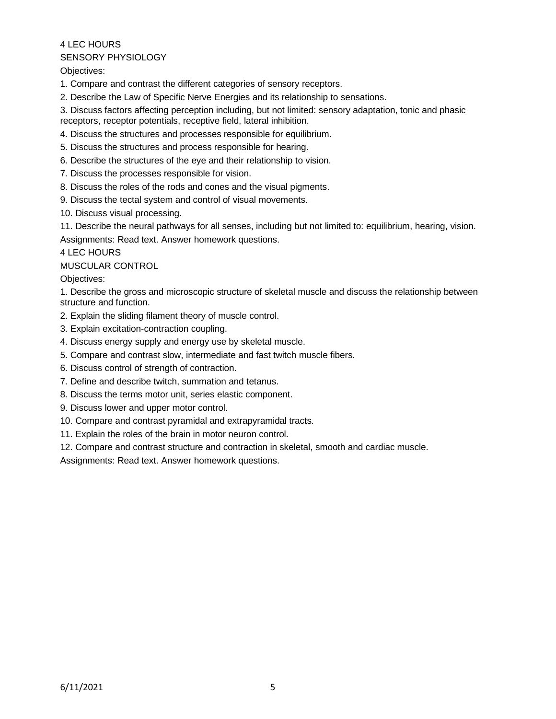# SENSORY PHYSIOLOGY

Objectives:

- 1. Compare and contrast the different categories of sensory receptors.
- 2. Describe the Law of Specific Nerve Energies and its relationship to sensations.
- 3. Discuss factors affecting perception including, but not limited: sensory adaptation, tonic and phasic receptors, receptor potentials, receptive field, lateral inhibition.
- 4. Discuss the structures and processes responsible for equilibrium.
- 5. Discuss the structures and process responsible for hearing.
- 6. Describe the structures of the eye and their relationship to vision.
- 7. Discuss the processes responsible for vision.
- 8. Discuss the roles of the rods and cones and the visual pigments.
- 9. Discuss the tectal system and control of visual movements.
- 10. Discuss visual processing.

11. Describe the neural pathways for all senses, including but not limited to: equilibrium, hearing, vision. Assignments: Read text. Answer homework questions.

4 LEC HOURS

MUSCULAR CONTROL

Objectives:

1. Describe the gross and microscopic structure of skeletal muscle and discuss the relationship between structure and function.

- 2. Explain the sliding filament theory of muscle control.
- 3. Explain excitation-contraction coupling.
- 4. Discuss energy supply and energy use by skeletal muscle.
- 5. Compare and contrast slow, intermediate and fast twitch muscle fibers.
- 6. Discuss control of strength of contraction.
- 7. Define and describe twitch, summation and tetanus.
- 8. Discuss the terms motor unit, series elastic component.
- 9. Discuss lower and upper motor control.
- 10. Compare and contrast pyramidal and extrapyramidal tracts.
- 11. Explain the roles of the brain in motor neuron control.
- 12. Compare and contrast structure and contraction in skeletal, smooth and cardiac muscle.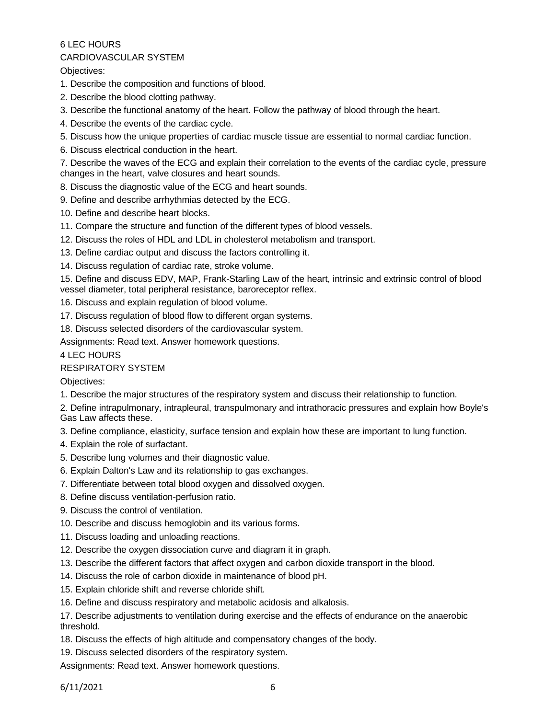#### CARDIOVASCULAR SYSTEM

Objectives:

- 1. Describe the composition and functions of blood.
- 2. Describe the blood clotting pathway.
- 3. Describe the functional anatomy of the heart. Follow the pathway of blood through the heart.
- 4. Describe the events of the cardiac cycle.
- 5. Discuss how the unique properties of cardiac muscle tissue are essential to normal cardiac function.
- 6. Discuss electrical conduction in the heart.
- 7. Describe the waves of the ECG and explain their correlation to the events of the cardiac cycle, pressure changes in the heart, valve closures and heart sounds.
- 8. Discuss the diagnostic value of the ECG and heart sounds.
- 9. Define and describe arrhythmias detected by the ECG.
- 10. Define and describe heart blocks.
- 11. Compare the structure and function of the different types of blood vessels.
- 12. Discuss the roles of HDL and LDL in cholesterol metabolism and transport.
- 13. Define cardiac output and discuss the factors controlling it.
- 14. Discuss regulation of cardiac rate, stroke volume.
- 15. Define and discuss EDV, MAP, Frank-Starling Law of the heart, intrinsic and extrinsic control of blood vessel diameter, total peripheral resistance, baroreceptor reflex.
- 16. Discuss and explain regulation of blood volume.
- 17. Discuss regulation of blood flow to different organ systems.
- 18. Discuss selected disorders of the cardiovascular system.

Assignments: Read text. Answer homework questions.

#### 4 LEC HOURS

#### RESPIRATORY SYSTEM

Objectives:

- 1. Describe the major structures of the respiratory system and discuss their relationship to function.
- 2. Define intrapulmonary, intrapleural, transpulmonary and intrathoracic pressures and explain how Boyle's Gas Law affects these.
- 3. Define compliance, elasticity, surface tension and explain how these are important to lung function.
- 4. Explain the role of surfactant.
- 5. Describe lung volumes and their diagnostic value.
- 6. Explain Dalton's Law and its relationship to gas exchanges.
- 7. Differentiate between total blood oxygen and dissolved oxygen.
- 8. Define discuss ventilation-perfusion ratio.
- 9. Discuss the control of ventilation.
- 10. Describe and discuss hemoglobin and its various forms.
- 11. Discuss loading and unloading reactions.
- 12. Describe the oxygen dissociation curve and diagram it in graph.
- 13. Describe the different factors that affect oxygen and carbon dioxide transport in the blood.
- 14. Discuss the role of carbon dioxide in maintenance of blood pH.
- 15. Explain chloride shift and reverse chloride shift.
- 16. Define and discuss respiratory and metabolic acidosis and alkalosis.

17. Describe adjustments to ventilation during exercise and the effects of endurance on the anaerobic threshold.

18. Discuss the effects of high altitude and compensatory changes of the body.

19. Discuss selected disorders of the respiratory system.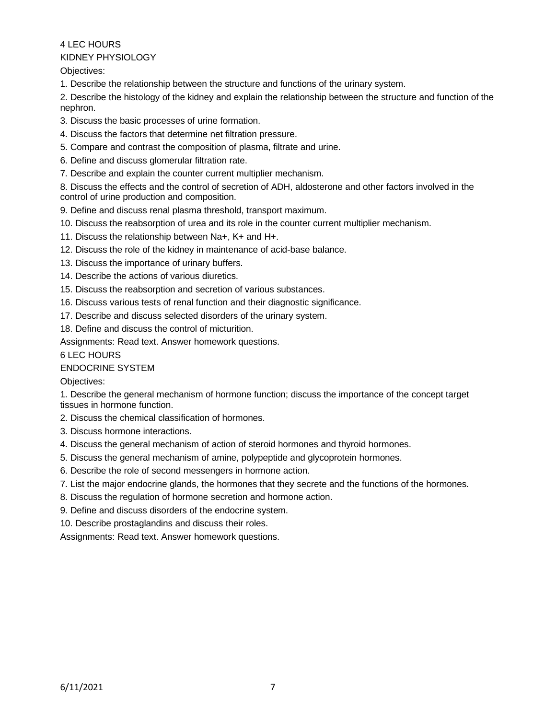4 LEC HOURS KIDNEY PHYSIOLOGY

Objectives:

1. Describe the relationship between the structure and functions of the urinary system.

2. Describe the histology of the kidney and explain the relationship between the structure and function of the nephron.

- 3. Discuss the basic processes of urine formation.
- 4. Discuss the factors that determine net filtration pressure.
- 5. Compare and contrast the composition of plasma, filtrate and urine.
- 6. Define and discuss glomerular filtration rate.
- 7. Describe and explain the counter current multiplier mechanism.

8. Discuss the effects and the control of secretion of ADH, aldosterone and other factors involved in the control of urine production and composition.

9. Define and discuss renal plasma threshold, transport maximum.

- 10. Discuss the reabsorption of urea and its role in the counter current multiplier mechanism.
- 11. Discuss the relationship between Na+, K+ and H+.
- 12. Discuss the role of the kidney in maintenance of acid-base balance.
- 13. Discuss the importance of urinary buffers.
- 14. Describe the actions of various diuretics.
- 15. Discuss the reabsorption and secretion of various substances.
- 16. Discuss various tests of renal function and their diagnostic significance.
- 17. Describe and discuss selected disorders of the urinary system.

18. Define and discuss the control of micturition.

Assignments: Read text. Answer homework questions.

6 LEC HOURS

# ENDOCRINE SYSTEM

Objectives:

1. Describe the general mechanism of hormone function; discuss the importance of the concept target tissues in hormone function.

- 2. Discuss the chemical classification of hormones.
- 3. Discuss hormone interactions.
- 4. Discuss the general mechanism of action of steroid hormones and thyroid hormones.
- 5. Discuss the general mechanism of amine, polypeptide and glycoprotein hormones.
- 6. Describe the role of second messengers in hormone action.
- 7. List the major endocrine glands, the hormones that they secrete and the functions of the hormones.
- 8. Discuss the regulation of hormone secretion and hormone action.
- 9. Define and discuss disorders of the endocrine system.
- 10. Describe prostaglandins and discuss their roles.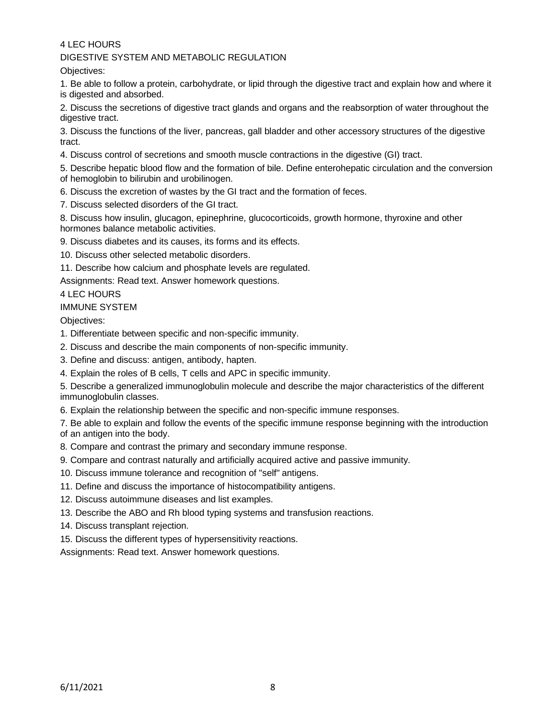DIGESTIVE SYSTEM AND METABOLIC REGULATION

Objectives:

1. Be able to follow a protein, carbohydrate, or lipid through the digestive tract and explain how and where it is digested and absorbed.

2. Discuss the secretions of digestive tract glands and organs and the reabsorption of water throughout the digestive tract.

3. Discuss the functions of the liver, pancreas, gall bladder and other accessory structures of the digestive tract.

4. Discuss control of secretions and smooth muscle contractions in the digestive (GI) tract.

5. Describe hepatic blood flow and the formation of bile. Define enterohepatic circulation and the conversion of hemoglobin to bilirubin and urobilinogen.

- 6. Discuss the excretion of wastes by the GI tract and the formation of feces.
- 7. Discuss selected disorders of the GI tract.

8. Discuss how insulin, glucagon, epinephrine, glucocorticoids, growth hormone, thyroxine and other hormones balance metabolic activities.

9. Discuss diabetes and its causes, its forms and its effects.

10. Discuss other selected metabolic disorders.

11. Describe how calcium and phosphate levels are regulated.

Assignments: Read text. Answer homework questions.

4 LEC HOURS

#### IMMUNE SYSTEM

Objectives:

- 1. Differentiate between specific and non-specific immunity.
- 2. Discuss and describe the main components of non-specific immunity.
- 3. Define and discuss: antigen, antibody, hapten.
- 4. Explain the roles of B cells, T cells and APC in specific immunity.

5. Describe a generalized immunoglobulin molecule and describe the major characteristics of the different immunoglobulin classes.

6. Explain the relationship between the specific and non-specific immune responses.

7. Be able to explain and follow the events of the specific immune response beginning with the introduction of an antigen into the body.

- 8. Compare and contrast the primary and secondary immune response.
- 9. Compare and contrast naturally and artificially acquired active and passive immunity.
- 10. Discuss immune tolerance and recognition of "self" antigens.
- 11. Define and discuss the importance of histocompatibility antigens.
- 12. Discuss autoimmune diseases and list examples.
- 13. Describe the ABO and Rh blood typing systems and transfusion reactions.
- 14. Discuss transplant rejection.
- 15. Discuss the different types of hypersensitivity reactions.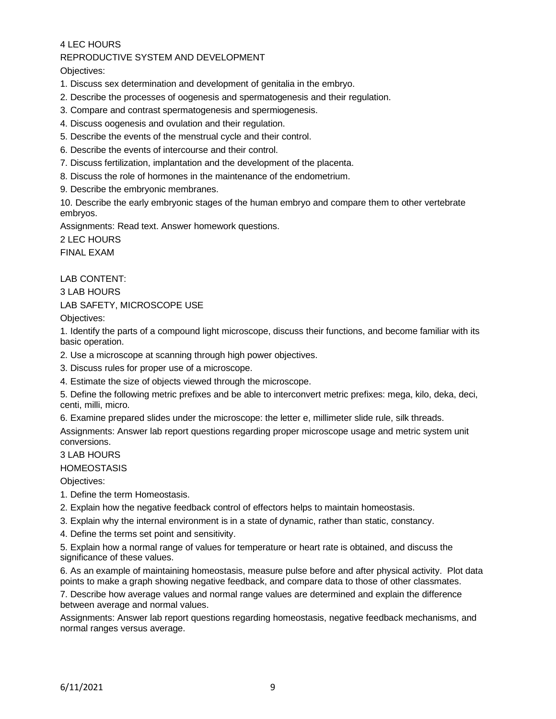REPRODUCTIVE SYSTEM AND DEVELOPMENT

Objectives:

- 1. Discuss sex determination and development of genitalia in the embryo.
- 2. Describe the processes of oogenesis and spermatogenesis and their regulation.
- 3. Compare and contrast spermatogenesis and spermiogenesis.
- 4. Discuss oogenesis and ovulation and their regulation.
- 5. Describe the events of the menstrual cycle and their control.
- 6. Describe the events of intercourse and their control.
- 7. Discuss fertilization, implantation and the development of the placenta.
- 8. Discuss the role of hormones in the maintenance of the endometrium.
- 9. Describe the embryonic membranes.

10. Describe the early embryonic stages of the human embryo and compare them to other vertebrate embryos.

Assignments: Read text. Answer homework questions.

2 LEC HOURS FINAL EXAM

LAB CONTENT:

3 LAB HOURS

LAB SAFETY, MICROSCOPE USE

Objectives:

1. Identify the parts of a compound light microscope, discuss their functions, and become familiar with its basic operation.

2. Use a microscope at scanning through high power objectives.

3. Discuss rules for proper use of a microscope.

4. Estimate the size of objects viewed through the microscope.

5. Define the following metric prefixes and be able to interconvert metric prefixes: mega, kilo, deka, deci, centi, milli, micro.

6. Examine prepared slides under the microscope: the letter e, millimeter slide rule, silk threads.

Assignments: Answer lab report questions regarding proper microscope usage and metric system unit conversions.

3 LAB HOURS

#### **HOMEOSTASIS**

Objectives:

- 1. Define the term Homeostasis.
- 2. Explain how the negative feedback control of effectors helps to maintain homeostasis.
- 3. Explain why the internal environment is in a state of dynamic, rather than static, constancy.
- 4. Define the terms set point and sensitivity.

5. Explain how a normal range of values for temperature or heart rate is obtained, and discuss the significance of these values.

6. As an example of maintaining homeostasis, measure pulse before and after physical activity. Plot data points to make a graph showing negative feedback, and compare data to those of other classmates.

7. Describe how average values and normal range values are determined and explain the difference between average and normal values.

Assignments: Answer lab report questions regarding homeostasis, negative feedback mechanisms, and normal ranges versus average.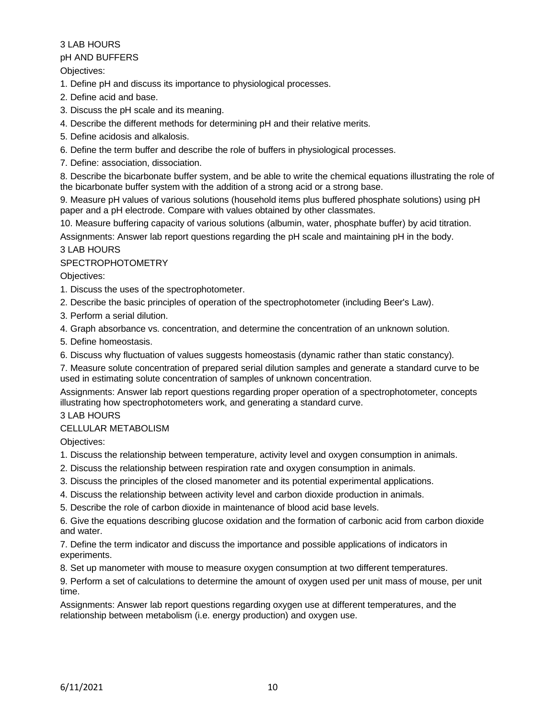#### pH AND BUFFERS

Objectives:

1. Define pH and discuss its importance to physiological processes.

- 2. Define acid and base.
- 3. Discuss the pH scale and its meaning.
- 4. Describe the different methods for determining pH and their relative merits.
- 5. Define acidosis and alkalosis.
- 6. Define the term buffer and describe the role of buffers in physiological processes.
- 7. Define: association, dissociation.

8. Describe the bicarbonate buffer system, and be able to write the chemical equations illustrating the role of the bicarbonate buffer system with the addition of a strong acid or a strong base.

9. Measure pH values of various solutions (household items plus buffered phosphate solutions) using pH paper and a pH electrode. Compare with values obtained by other classmates.

10. Measure buffering capacity of various solutions (albumin, water, phosphate buffer) by acid titration.

Assignments: Answer lab report questions regarding the pH scale and maintaining pH in the body.

## 3 LAB HOURS

## SPECTROPHOTOMETRY

Objectives:

- 1. Discuss the uses of the spectrophotometer.
- 2. Describe the basic principles of operation of the spectrophotometer (including Beer's Law).
- 3. Perform a serial dilution.

4. Graph absorbance vs. concentration, and determine the concentration of an unknown solution.

- 5. Define homeostasis.
- 6. Discuss why fluctuation of values suggests homeostasis (dynamic rather than static constancy).
- 7. Measure solute concentration of prepared serial dilution samples and generate a standard curve to be used in estimating solute concentration of samples of unknown concentration.

Assignments: Answer lab report questions regarding proper operation of a spectrophotometer, concepts illustrating how spectrophotometers work, and generating a standard curve.

## 3 LAB HOURS

#### CELLULAR METABOLISM

Objectives:

- 1. Discuss the relationship between temperature, activity level and oxygen consumption in animals.
- 2. Discuss the relationship between respiration rate and oxygen consumption in animals.
- 3. Discuss the principles of the closed manometer and its potential experimental applications.
- 4. Discuss the relationship between activity level and carbon dioxide production in animals.
- 5. Describe the role of carbon dioxide in maintenance of blood acid base levels.

6. Give the equations describing glucose oxidation and the formation of carbonic acid from carbon dioxide and water.

7. Define the term indicator and discuss the importance and possible applications of indicators in experiments.

8. Set up manometer with mouse to measure oxygen consumption at two different temperatures.

9. Perform a set of calculations to determine the amount of oxygen used per unit mass of mouse, per unit time.

Assignments: Answer lab report questions regarding oxygen use at different temperatures, and the relationship between metabolism (i.e. energy production) and oxygen use.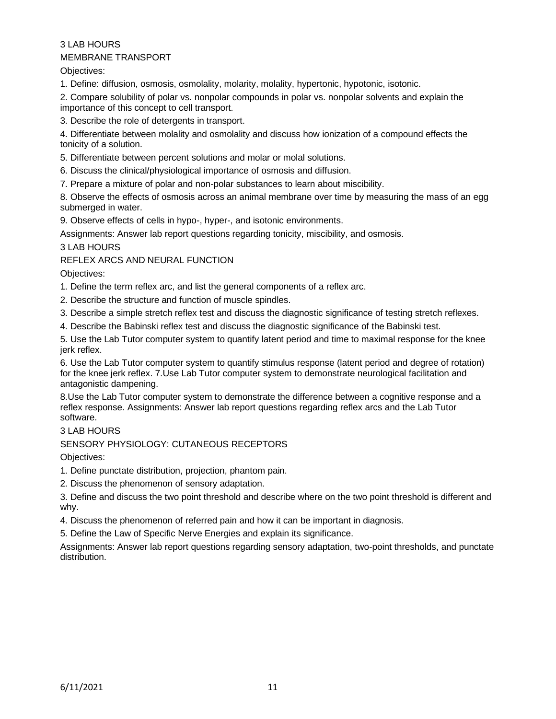## 3 LAB HOURS MEMBRANE TRANSPORT

Objectives:

1. Define: diffusion, osmosis, osmolality, molarity, molality, hypertonic, hypotonic, isotonic.

2. Compare solubility of polar vs. nonpolar compounds in polar vs. nonpolar solvents and explain the importance of this concept to cell transport.

3. Describe the role of detergents in transport.

4. Differentiate between molality and osmolality and discuss how ionization of a compound effects the tonicity of a solution.

5. Differentiate between percent solutions and molar or molal solutions.

6. Discuss the clinical/physiological importance of osmosis and diffusion.

7. Prepare a mixture of polar and non-polar substances to learn about miscibility.

8. Observe the effects of osmosis across an animal membrane over time by measuring the mass of an egg submerged in water.

9. Observe effects of cells in hypo-, hyper-, and isotonic environments.

Assignments: Answer lab report questions regarding tonicity, miscibility, and osmosis.

3 LAB HOURS

REFLEX ARCS AND NEURAL FUNCTION

Objectives:

1. Define the term reflex arc, and list the general components of a reflex arc.

2. Describe the structure and function of muscle spindles.

3. Describe a simple stretch reflex test and discuss the diagnostic significance of testing stretch reflexes.

4. Describe the Babinski reflex test and discuss the diagnostic significance of the Babinski test.

5. Use the Lab Tutor computer system to quantify latent period and time to maximal response for the knee jerk reflex.

6. Use the Lab Tutor computer system to quantify stimulus response (latent period and degree of rotation) for the knee jerk reflex. 7.Use Lab Tutor computer system to demonstrate neurological facilitation and antagonistic dampening.

8.Use the Lab Tutor computer system to demonstrate the difference between a cognitive response and a reflex response. Assignments: Answer lab report questions regarding reflex arcs and the Lab Tutor software.

3 LAB HOURS

SENSORY PHYSIOLOGY: CUTANEOUS RECEPTORS

Objectives:

1. Define punctate distribution, projection, phantom pain.

2. Discuss the phenomenon of sensory adaptation.

3. Define and discuss the two point threshold and describe where on the two point threshold is different and why.

4. Discuss the phenomenon of referred pain and how it can be important in diagnosis.

5. Define the Law of Specific Nerve Energies and explain its significance.

Assignments: Answer lab report questions regarding sensory adaptation, two-point thresholds, and punctate distribution.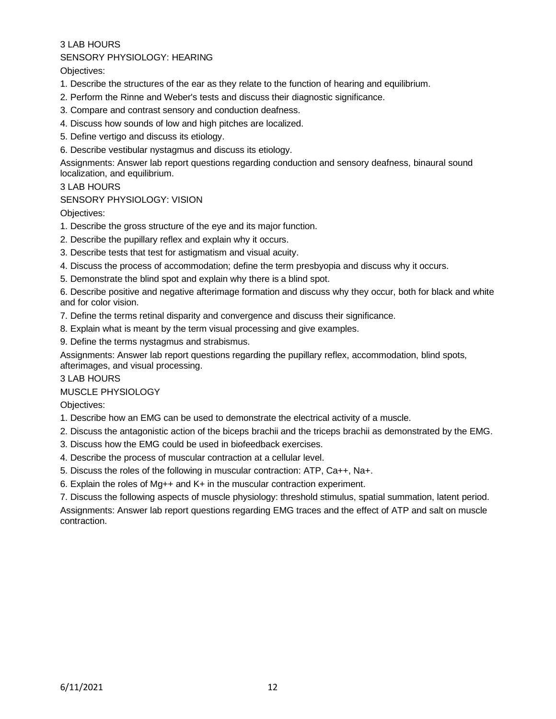#### SENSORY PHYSIOLOGY: HEARING

Objectives:

- 1. Describe the structures of the ear as they relate to the function of hearing and equilibrium.
- 2. Perform the Rinne and Weber's tests and discuss their diagnostic significance.
- 3. Compare and contrast sensory and conduction deafness.
- 4. Discuss how sounds of low and high pitches are localized.
- 5. Define vertigo and discuss its etiology.
- 6. Describe vestibular nystagmus and discuss its etiology.

Assignments: Answer lab report questions regarding conduction and sensory deafness, binaural sound localization, and equilibrium.

#### 3 LAB HOURS

## SENSORY PHYSIOLOGY: VISION

Objectives:

- 1. Describe the gross structure of the eye and its major function.
- 2. Describe the pupillary reflex and explain why it occurs.
- 3. Describe tests that test for astigmatism and visual acuity.
- 4. Discuss the process of accommodation; define the term presbyopia and discuss why it occurs.
- 5. Demonstrate the blind spot and explain why there is a blind spot.

6. Describe positive and negative afterimage formation and discuss why they occur, both for black and white and for color vision.

- 7. Define the terms retinal disparity and convergence and discuss their significance.
- 8. Explain what is meant by the term visual processing and give examples.
- 9. Define the terms nystagmus and strabismus.

Assignments: Answer lab report questions regarding the pupillary reflex, accommodation, blind spots, afterimages, and visual processing.

#### 3 LAB HOURS

MUSCLE PHYSIOLOGY

Objectives:

- 1. Describe how an EMG can be used to demonstrate the electrical activity of a muscle.
- 2. Discuss the antagonistic action of the biceps brachii and the triceps brachii as demonstrated by the EMG.
- 3. Discuss how the EMG could be used in biofeedback exercises.
- 4. Describe the process of muscular contraction at a cellular level.
- 5. Discuss the roles of the following in muscular contraction: ATP, Ca++, Na+.
- 6. Explain the roles of Mg++ and K+ in the muscular contraction experiment.

7. Discuss the following aspects of muscle physiology: threshold stimulus, spatial summation, latent period. Assignments: Answer lab report questions regarding EMG traces and the effect of ATP and salt on muscle

contraction.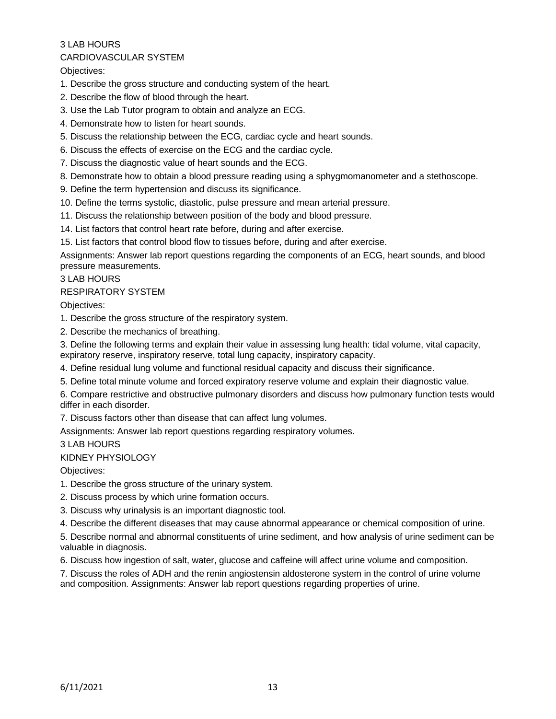## CARDIOVASCULAR SYSTEM

Objectives:

- 1. Describe the gross structure and conducting system of the heart.
- 2. Describe the flow of blood through the heart.
- 3. Use the Lab Tutor program to obtain and analyze an ECG.
- 4. Demonstrate how to listen for heart sounds.
- 5. Discuss the relationship between the ECG, cardiac cycle and heart sounds.
- 6. Discuss the effects of exercise on the ECG and the cardiac cycle.
- 7. Discuss the diagnostic value of heart sounds and the ECG.
- 8. Demonstrate how to obtain a blood pressure reading using a sphygmomanometer and a stethoscope.
- 9. Define the term hypertension and discuss its significance.
- 10. Define the terms systolic, diastolic, pulse pressure and mean arterial pressure.
- 11. Discuss the relationship between position of the body and blood pressure.
- 14. List factors that control heart rate before, during and after exercise.
- 15. List factors that control blood flow to tissues before, during and after exercise.

Assignments: Answer lab report questions regarding the components of an ECG, heart sounds, and blood pressure measurements.

#### 3 LAB HOURS

# RESPIRATORY SYSTEM

Objectives:

1. Describe the gross structure of the respiratory system.

2. Describe the mechanics of breathing.

3. Define the following terms and explain their value in assessing lung health: tidal volume, vital capacity, expiratory reserve, inspiratory reserve, total lung capacity, inspiratory capacity.

- 4. Define residual lung volume and functional residual capacity and discuss their significance.
- 5. Define total minute volume and forced expiratory reserve volume and explain their diagnostic value.

6. Compare restrictive and obstructive pulmonary disorders and discuss how pulmonary function tests would differ in each disorder.

7. Discuss factors other than disease that can affect lung volumes.

Assignments: Answer lab report questions regarding respiratory volumes.

3 LAB HOURS

#### KIDNEY PHYSIOLOGY

Objectives:

1. Describe the gross structure of the urinary system.

2. Discuss process by which urine formation occurs.

3. Discuss why urinalysis is an important diagnostic tool.

4. Describe the different diseases that may cause abnormal appearance or chemical composition of urine.

5. Describe normal and abnormal constituents of urine sediment, and how analysis of urine sediment can be valuable in diagnosis.

6. Discuss how ingestion of salt, water, glucose and caffeine will affect urine volume and composition.

7. Discuss the roles of ADH and the renin angiostensin aldosterone system in the control of urine volume and composition. Assignments: Answer lab report questions regarding properties of urine.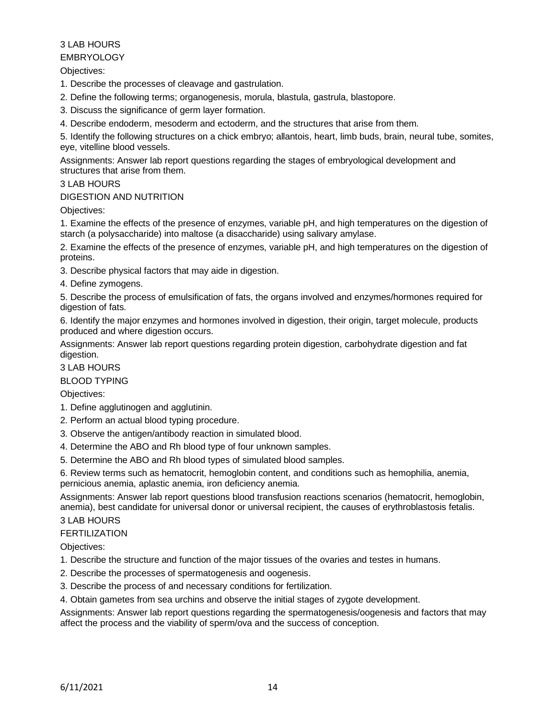#### EMBRYOLOGY

Objectives:

- 1. Describe the processes of cleavage and gastrulation.
- 2. Define the following terms; organogenesis, morula, blastula, gastrula, blastopore.
- 3. Discuss the significance of germ layer formation.
- 4. Describe endoderm, mesoderm and ectoderm, and the structures that arise from them.

5. Identify the following structures on a chick embryo; allantois, heart, limb buds, brain, neural tube, somites, eye, vitelline blood vessels.

Assignments: Answer lab report questions regarding the stages of embryological development and structures that arise from them.

## 3 LAB HOURS

#### DIGESTION AND NUTRITION

Objectives:

1. Examine the effects of the presence of enzymes, variable pH, and high temperatures on the digestion of starch (a polysaccharide) into maltose (a disaccharide) using salivary amylase.

2. Examine the effects of the presence of enzymes, variable pH, and high temperatures on the digestion of proteins.

3. Describe physical factors that may aide in digestion.

4. Define zymogens.

5. Describe the process of emulsification of fats, the organs involved and enzymes/hormones required for digestion of fats.

6. Identify the major enzymes and hormones involved in digestion, their origin, target molecule, products produced and where digestion occurs.

Assignments: Answer lab report questions regarding protein digestion, carbohydrate digestion and fat digestion.

3 LAB HOURS

#### BLOOD TYPING

Objectives:

- 1. Define agglutinogen and agglutinin.
- 2. Perform an actual blood typing procedure.
- 3. Observe the antigen/antibody reaction in simulated blood.
- 4. Determine the ABO and Rh blood type of four unknown samples.
- 5. Determine the ABO and Rh blood types of simulated blood samples.

6. Review terms such as hematocrit, hemoglobin content, and conditions such as hemophilia, anemia, pernicious anemia, aplastic anemia, iron deficiency anemia.

Assignments: Answer lab report questions blood transfusion reactions scenarios (hematocrit, hemoglobin, anemia), best candidate for universal donor or universal recipient, the causes of erythroblastosis fetalis.

## 3 LAB HOURS

#### FERTILIZATION

Objectives:

- 1. Describe the structure and function of the major tissues of the ovaries and testes in humans.
- 2. Describe the processes of spermatogenesis and oogenesis.
- 3. Describe the process of and necessary conditions for fertilization.
- 4. Obtain gametes from sea urchins and observe the initial stages of zygote development.

Assignments: Answer lab report questions regarding the spermatogenesis/oogenesis and factors that may affect the process and the viability of sperm/ova and the success of conception.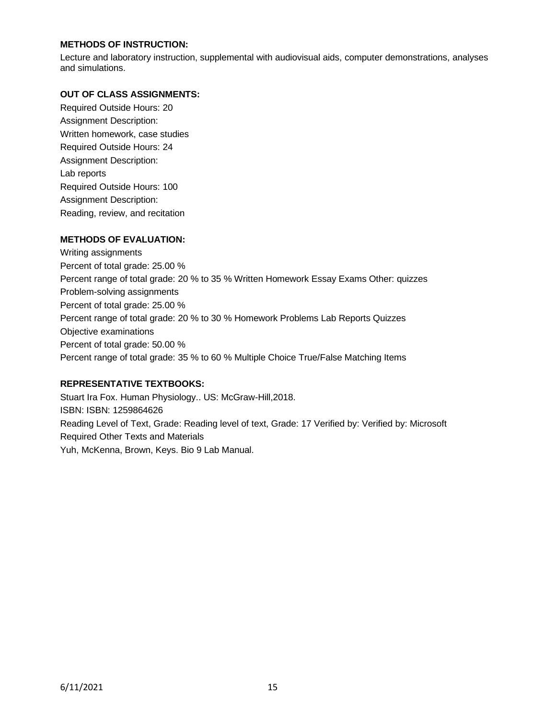## **METHODS OF INSTRUCTION:**

Lecture and laboratory instruction, supplemental with audiovisual aids, computer demonstrations, analyses and simulations.

#### **OUT OF CLASS ASSIGNMENTS:**

Required Outside Hours: 20 Assignment Description: Written homework, case studies Required Outside Hours: 24 Assignment Description: Lab reports Required Outside Hours: 100 Assignment Description: Reading, review, and recitation

## **METHODS OF EVALUATION:**

Writing assignments Percent of total grade: 25.00 % Percent range of total grade: 20 % to 35 % Written Homework Essay Exams Other: quizzes Problem-solving assignments Percent of total grade: 25.00 % Percent range of total grade: 20 % to 30 % Homework Problems Lab Reports Quizzes Objective examinations Percent of total grade: 50.00 % Percent range of total grade: 35 % to 60 % Multiple Choice True/False Matching Items

#### **REPRESENTATIVE TEXTBOOKS:**

Stuart Ira Fox. Human Physiology.. US: McGraw-Hill,2018. ISBN: ISBN: 1259864626 Reading Level of Text, Grade: Reading level of text, Grade: 17 Verified by: Verified by: Microsoft Required Other Texts and Materials Yuh, McKenna, Brown, Keys. Bio 9 Lab Manual.